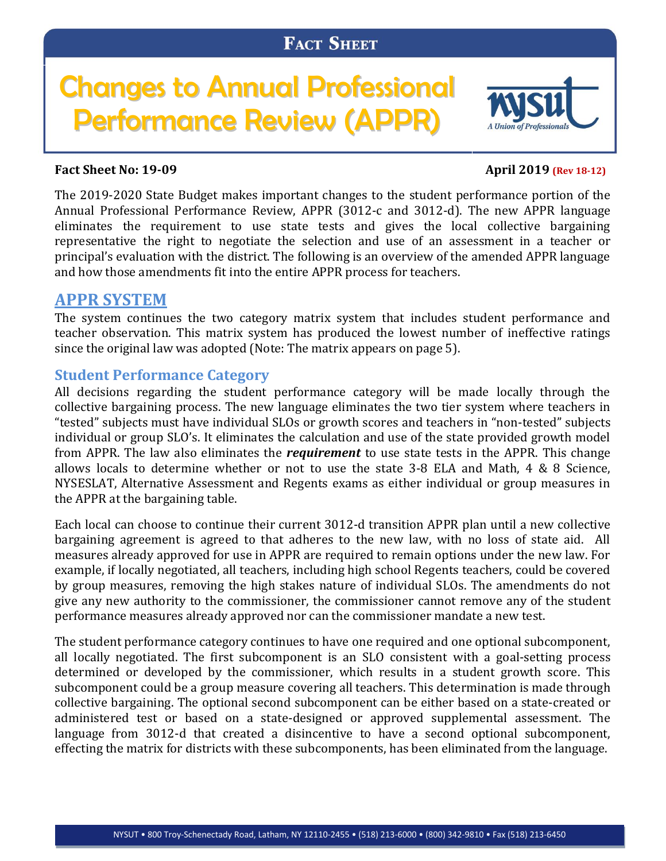# Changes to Annual Professional Performance Review (APPR)



#### **Fact Sheet No: 19-09 April 2019 (Rev** 18-12)

The 2019-2020 State Budget makes important changes to the student performance portion of the Annual Professional Performance Review, APPR (3012-c and 3012-d). The new APPR language eliminates the requirement to use state tests and gives the local collective bargaining representative the right to negotiate the selection and use of an assessment in a teacher or principal's evaluation with the district. The following is an overview of the amended APPR language and how those amendments fit into the entire APPR process for teachers.

# **APPR SYSTEM**

The system continues the two category matrix system that includes student performance and teacher observation. This matrix system has produced the lowest number of ineffective ratings since the original law was adopted (Note: The matrix appears on page 5).

#### **Student Performance Category**

All decisions regarding the student performance category will be made locally through the collective bargaining process. The new language eliminates the two tier system where teachers in "tested" subjects must have individual SLOs or growth scores and teachers in "non-tested" subjects individual or group SLO's. It eliminates the calculation and use of the state provided growth model from APPR. The law also eliminates the *requirement* to use state tests in the APPR. This change allows locals to determine whether or not to use the state 3-8 ELA and Math, 4 & 8 Science, NYSESLAT, Alternative Assessment and Regents exams as either individual or group measures in the APPR at the bargaining table.

Each local can choose to continue their current 3012-d transition APPR plan until a new collective bargaining agreement is agreed to that adheres to the new law, with no loss of state aid. All measures already approved for use in APPR are required to remain options under the new law. For example, if locally negotiated, all teachers, including high school Regents teachers, could be covered by group measures, removing the high stakes nature of individual SLOs. The amendments do not give any new authority to the commissioner, the commissioner cannot remove any of the student performance measures already approved nor can the commissioner mandate a new test.

The student performance category continues to have one required and one optional subcomponent, all locally negotiated. The first subcomponent is an SLO consistent with a goal-setting process determined or developed by the commissioner, which results in a student growth score. This subcomponent could be a group measure covering all teachers. This determination is made through collective bargaining. The optional second subcomponent can be either based on a state-created or administered test or based on a state-designed or approved supplemental assessment. The language from 3012-d that created a disincentive to have a second optional subcomponent, effecting the matrix for districts with these subcomponents, has been eliminated from the language.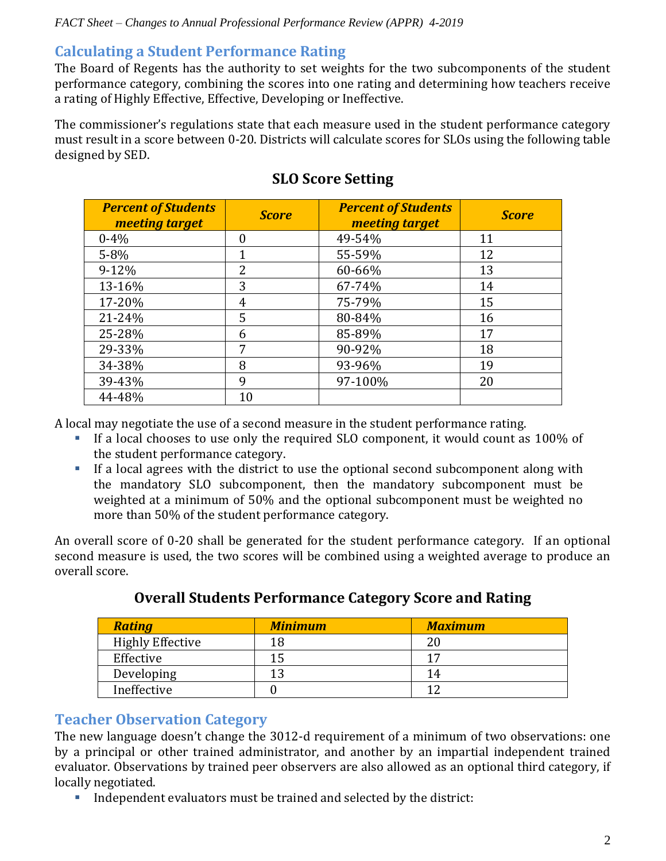#### *FACT Sheet – Changes to Annual Professional Performance Review (APPR) 4-2019*

#### **Calculating a Student Performance Rating**

The Board of Regents has the authority to set weights for the two subcomponents of the student performance category, combining the scores into one rating and determining how teachers receive a rating of Highly Effective, Effective, Developing or Ineffective.

The commissioner's regulations state that each measure used in the student performance category must result in a score between 0-20. Districts will calculate scores for SLOs using the following table designed by SED.

| <b>Percent of Students</b><br>meeting target | <b>Score</b>   | <b>Percent of Students</b><br><b>meeting target</b> | <b>Score</b> |
|----------------------------------------------|----------------|-----------------------------------------------------|--------------|
| $0 - 4\%$                                    | 0              | 49-54%                                              | 11           |
| $5 - 8%$                                     | 1              | 55-59%                                              | 12           |
| $9 - 12%$                                    | $\overline{2}$ | 60-66%                                              | 13           |
| 13-16%                                       | 3              | 67-74%                                              | 14           |
| 17-20%                                       | 4              | 75-79%                                              | 15           |
| 21-24%                                       | 5              | 80-84%                                              | 16           |
| 25-28%                                       | 6              | 85-89%                                              | 17           |
| 29-33%                                       | 7              | 90-92%                                              | 18           |
| 34-38%                                       | 8              | 93-96%                                              | 19           |
| 39-43%                                       | 9              | 97-100%                                             | 20           |
| 44-48%                                       | 10             |                                                     |              |

# **SLO Score Setting**

A local may negotiate the use of a second measure in the student performance rating.

- If a local chooses to use only the required SLO component, it would count as 100% of the student performance category.
- If a local agrees with the district to use the optional second subcomponent along with the mandatory SLO subcomponent, then the mandatory subcomponent must be weighted at a minimum of 50% and the optional subcomponent must be weighted no more than 50% of the student performance category.

An overall score of 0-20 shall be generated for the student performance category. If an optional second measure is used, the two scores will be combined using a weighted average to produce an overall score.

| <b>Rating</b>           | <b>Minimum</b> | <b>Maximum</b> |
|-------------------------|----------------|----------------|
| <b>Highly Effective</b> | 18             |                |
| Effective               | 15             | 17             |
| Developing              | 1 ว            | 14             |
| Ineffective             |                |                |

# **Overall Students Performance Category Score and Rating**

#### **Teacher Observation Category**

The new language doesn't change the 3012-d requirement of a minimum of two observations: one by a principal or other trained administrator, and another by an impartial independent trained evaluator. Observations by trained peer observers are also allowed as an optional third category, if locally negotiated.

Independent evaluators must be trained and selected by the district: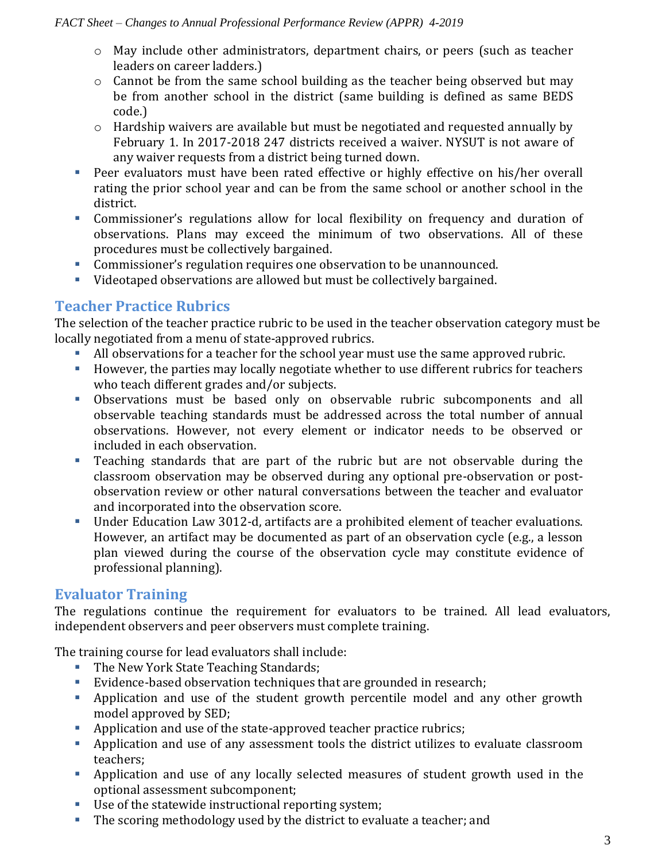- o May include other administrators, department chairs, or peers (such as teacher leaders on career ladders.)
- o Cannot be from the same school building as the teacher being observed but may be from another school in the district (same building is defined as same BEDS code.)
- o Hardship waivers are available but must be negotiated and requested annually by February 1. In 2017-2018 247 districts received a waiver. NYSUT is not aware of any waiver requests from a district being turned down.
- Peer evaluators must have been rated effective or highly effective on his/her overall rating the prior school year and can be from the same school or another school in the district.
- Commissioner's regulations allow for local flexibility on frequency and duration of observations. Plans may exceed the minimum of two observations. All of these procedures must be collectively bargained.
- Commissioner's regulation requires one observation to be unannounced.
- Videotaped observations are allowed but must be collectively bargained.

# **Teacher Practice Rubrics**

The selection of the teacher practice rubric to be used in the teacher observation category must be locally negotiated from a menu of state-approved rubrics.

- All observations for a teacher for the school year must use the same approved rubric.
- However, the parties may locally negotiate whether to use different rubrics for teachers who teach different grades and/or subjects.
- Observations must be based only on observable rubric subcomponents and all observable teaching standards must be addressed across the total number of annual observations. However, not every element or indicator needs to be observed or included in each observation.
- Teaching standards that are part of the rubric but are not observable during the classroom observation may be observed during any optional pre-observation or postobservation review or other natural conversations between the teacher and evaluator and incorporated into the observation score.
- Under Education Law 3012-d, artifacts are a prohibited element of teacher evaluations. However, an artifact may be documented as part of an observation cycle (e.g., a lesson plan viewed during the course of the observation cycle may constitute evidence of professional planning).

# **Evaluator Training**

The regulations continue the requirement for evaluators to be trained. All lead evaluators, independent observers and peer observers must complete training.

The training course for lead evaluators shall include:

- The New York State Teaching Standards;
- Evidence-based observation techniques that are grounded in research;
- Application and use of the student growth percentile model and any other growth model approved by SED;
- Application and use of the state-approved teacher practice rubrics;
- Application and use of any assessment tools the district utilizes to evaluate classroom teachers;
- Application and use of any locally selected measures of student growth used in the optional assessment subcomponent;
- Use of the statewide instructional reporting system;
- The scoring methodology used by the district to evaluate a teacher; and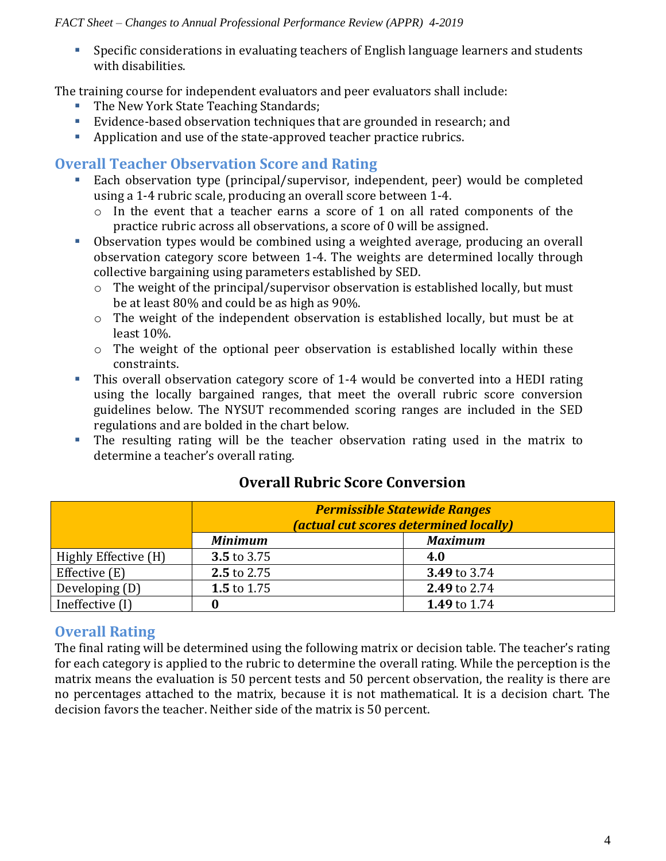#### *FACT Sheet – Changes to Annual Professional Performance Review (APPR) 4-2019*

 Specific considerations in evaluating teachers of English language learners and students with disabilities.

The training course for independent evaluators and peer evaluators shall include:

- The New York State Teaching Standards;
- Evidence-based observation techniques that are grounded in research; and
- Application and use of the state-approved teacher practice rubrics.

#### **Overall Teacher Observation Score and Rating**

- Each observation type (principal/supervisor, independent, peer) would be completed using a 1-4 rubric scale, producing an overall score between 1-4.
	- o In the event that a teacher earns a score of 1 on all rated components of the practice rubric across all observations, a score of 0 will be assigned.
- Observation types would be combined using a weighted average, producing an overall observation category score between 1-4. The weights are determined locally through collective bargaining using parameters established by SED.
	- o The weight of the principal/supervisor observation is established locally, but must be at least 80% and could be as high as 90%.
	- o The weight of the independent observation is established locally, but must be at least 10%.
	- o The weight of the optional peer observation is established locally within these constraints.
- This overall observation category score of 1-4 would be converted into a HEDI rating using the locally bargained ranges, that meet the overall rubric score conversion guidelines below. The NYSUT recommended scoring ranges are included in the SED regulations and are bolded in the chart below.
- The resulting rating will be the teacher observation rating used in the matrix to determine a teacher's overall rating.

|                      | <b>Permissible Statewide Ranges</b><br><i>(actual cut scores determined locally)</i> |                |  |
|----------------------|--------------------------------------------------------------------------------------|----------------|--|
|                      | <b>Minimum</b>                                                                       | <b>Maximum</b> |  |
| Highly Effective (H) | 3.5 to 3.75                                                                          | 4.0            |  |
| Effective (E)        | 2.5 to 2.75                                                                          | 3.49 to 3.74   |  |
| Developing (D)       | 1.5 to 1.75                                                                          | 2.49 to 2.74   |  |
| Ineffective (I)      |                                                                                      | 1.49 to 1.74   |  |

# **Overall Rubric Score Conversion**

# **Overall Rating**

The final rating will be determined using the following matrix or decision table. The teacher's rating for each category is applied to the rubric to determine the overall rating. While the perception is the matrix means the evaluation is 50 percent tests and 50 percent observation, the reality is there are no percentages attached to the matrix, because it is not mathematical. It is a decision chart. The decision favors the teacher. Neither side of the matrix is 50 percent.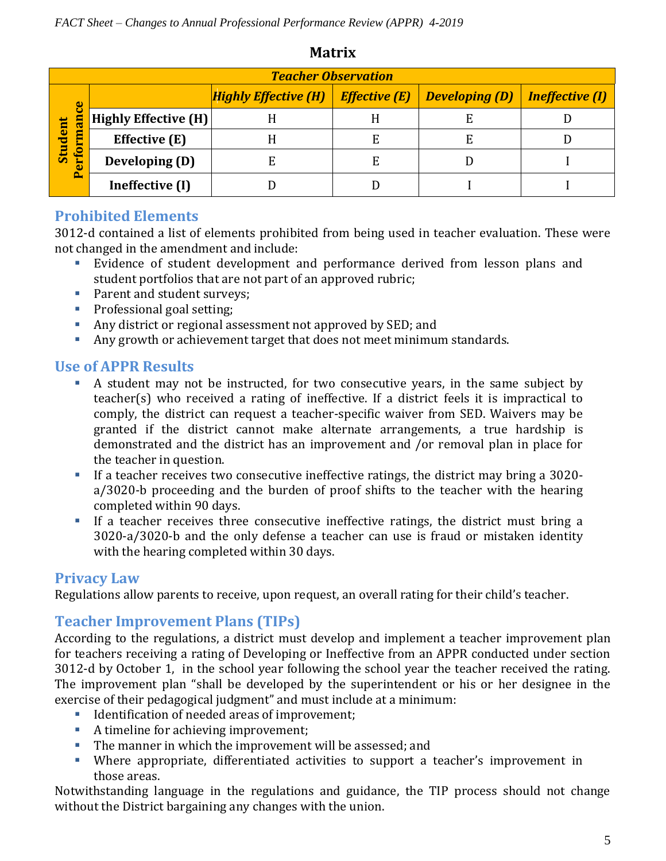| <b>Teacher Observation</b>                                   |                      |                                        |   |                                              |  |  |  |  |  |
|--------------------------------------------------------------|----------------------|----------------------------------------|---|----------------------------------------------|--|--|--|--|--|
| ပ္ပ<br>man <sup>-</sup><br><b>Student</b><br>قيا<br><b>O</b> |                      | Highly Effective (H)   Effective $(E)$ |   | $\mid$ Developing (D) $\mid$ Ineffective (I) |  |  |  |  |  |
|                                                              | Highly Effective (H) |                                        |   | E                                            |  |  |  |  |  |
|                                                              | Effective (E)        |                                        | F | E                                            |  |  |  |  |  |
|                                                              | Developing (D)       |                                        | E |                                              |  |  |  |  |  |
|                                                              | Ineffective (I)      |                                        |   |                                              |  |  |  |  |  |

#### **Matrix**

#### **Prohibited Elements**

3012-d contained a list of elements prohibited from being used in teacher evaluation. These were not changed in the amendment and include:

- Evidence of student development and performance derived from lesson plans and student portfolios that are not part of an approved rubric;
- **Parent and student surveys;**
- **Professional goal setting;**
- Any district or regional assessment not approved by SED; and
- Any growth or achievement target that does not meet minimum standards.

#### **Use of APPR Results**

- A student may not be instructed, for two consecutive years, in the same subject by teacher(s) who received a rating of ineffective. If a district feels it is impractical to comply, the district can request a teacher-specific waiver from SED. Waivers may be granted if the district cannot make alternate arrangements, a true hardship is demonstrated and the district has an improvement and /or removal plan in place for the teacher in question.
- If a teacher receives two consecutive ineffective ratings, the district may bring a 3020a/3020-b proceeding and the burden of proof shifts to the teacher with the hearing completed within 90 days.
- If a teacher receives three consecutive ineffective ratings, the district must bring a 3020-a/3020-b and the only defense a teacher can use is fraud or mistaken identity with the hearing completed within 30 days.

# **Privacy Law**

Regulations allow parents to receive, upon request, an overall rating for their child's teacher.

# **Teacher Improvement Plans (TIPs)**

According to the regulations, a district must develop and implement a teacher improvement plan for teachers receiving a rating of Developing or Ineffective from an APPR conducted under section 3012-d by October 1, in the school year following the school year the teacher received the rating. The improvement plan "shall be developed by the superintendent or his or her designee in the exercise of their pedagogical judgment" and must include at a minimum:

- Identification of needed areas of improvement;
- A timeline for achieving improvement;
- The manner in which the improvement will be assessed; and
- Where appropriate, differentiated activities to support a teacher's improvement in those areas.

Notwithstanding language in the regulations and guidance, the TIP process should not change without the District bargaining any changes with the union.